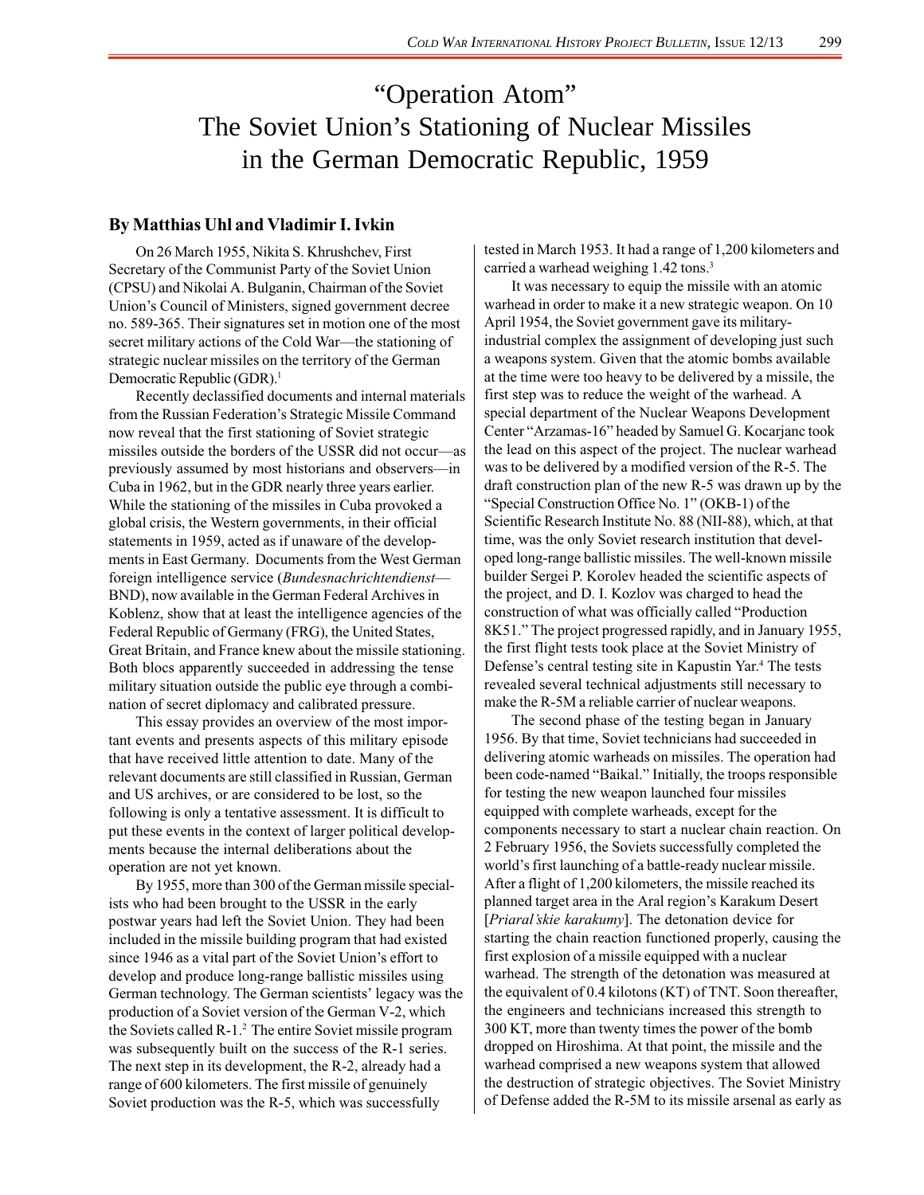## "Operation Atom" The Soviet Union's Stationing of Nuclear Missiles in the German Democratic Republic, 1959

## **By Matthias Uhl and Vladimir I. Ivkin**

On 26 March 1955, Nikita S. Khrushchev, First Secretary of the Communist Party of the Soviet Union (CPSU) and Nikolai A. Bulganin, Chairman of the Soviet Union's Council of Ministers, signed government decree no. 589-365. Their signatures set in motion one of the most secret military actions of the Cold War—the stationing of strategic nuclear missiles on the territory of the German Democratic Republic (GDR).<sup>1</sup>

Recently declassified documents and internal materials from the Russian Federation's Strategic Missile Command now reveal that the first stationing of Soviet strategic missiles outside the borders of the USSR did not occur—as previously assumed by most historians and observers—in Cuba in 1962, but in the GDR nearly three years earlier. While the stationing of the missiles in Cuba provoked a global crisis, the Western governments, in their official statements in 1959, acted as if unaware of the developments in East Germany. Documents from the West German foreign intelligence service (*Bundesnachrichtendienst*— BND), now available in the German Federal Archives in Koblenz, show that at least the intelligence agencies of the Federal Republic of Germany (FRG), the United States, Great Britain, and France knew about the missile stationing. Both blocs apparently succeeded in addressing the tense military situation outside the public eye through a combination of secret diplomacy and calibrated pressure.

This essay provides an overview of the most important events and presents aspects of this military episode that have received little attention to date. Many of the relevant documents are still classified in Russian, German and US archives, or are considered to be lost, so the following is only a tentative assessment. It is difficult to put these events in the context of larger political developments because the internal deliberations about the operation are not yet known.

By 1955, more than 300 of the German missile specialists who had been brought to the USSR in the early postwar years had left the Soviet Union. They had been included in the missile building program that had existed since 1946 as a vital part of the Soviet Union's effort to develop and produce long-range ballistic missiles using German technology. The German scientists' legacy was the production of a Soviet version of the German V-2, which the Soviets called R-1.2 The entire Soviet missile program was subsequently built on the success of the R-1 series. The next step in its development, the R-2, already had a range of 600 kilometers. The first missile of genuinely Soviet production was the R-5, which was successfully

tested in March 1953. It had a range of 1,200 kilometers and carried a warhead weighing 1.42 tons.<sup>3</sup>

It was necessary to equip the missile with an atomic warhead in order to make it a new strategic weapon. On 10 April 1954, the Soviet government gave its militaryindustrial complex the assignment of developing just such a weapons system. Given that the atomic bombs available at the time were too heavy to be delivered by a missile, the first step was to reduce the weight of the warhead. A special department of the Nuclear Weapons Development Center "Arzamas-16" headed by Samuel G. Kocarjanc took the lead on this aspect of the project. The nuclear warhead was to be delivered by a modified version of the R-5. The draft construction plan of the new R-5 was drawn up by the "Special Construction Office No. 1" (OKB-1) of the Scientific Research Institute No. 88 (NII-88), which, at that time, was the only Soviet research institution that developed long-range ballistic missiles. The well-known missile builder Sergei P. Korolev headed the scientific aspects of the project, and D. I. Kozlov was charged to head the construction of what was officially called "Production 8K51." The project progressed rapidly, and in January 1955, the first flight tests took place at the Soviet Ministry of Defense's central testing site in Kapustin Yar.4 The tests revealed several technical adjustments still necessary to make the R-5M a reliable carrier of nuclear weapons.

The second phase of the testing began in January 1956. By that time, Soviet technicians had succeeded in delivering atomic warheads on missiles. The operation had been code-named "Baikal." Initially, the troops responsible for testing the new weapon launched four missiles equipped with complete warheads, except for the components necessary to start a nuclear chain reaction. On 2 February 1956, the Soviets successfully completed the world's first launching of a battle-ready nuclear missile. After a flight of 1,200 kilometers, the missile reached its planned target area in the Aral region's Karakum Desert [*Priaral'skie karakumy*]. The detonation device for starting the chain reaction functioned properly, causing the first explosion of a missile equipped with a nuclear warhead. The strength of the detonation was measured at the equivalent of 0.4 kilotons (KT) of TNT. Soon thereafter, the engineers and technicians increased this strength to 300 KT, more than twenty times the power of the bomb dropped on Hiroshima. At that point, the missile and the warhead comprised a new weapons system that allowed the destruction of strategic objectives. The Soviet Ministry of Defense added the R-5M to its missile arsenal as early as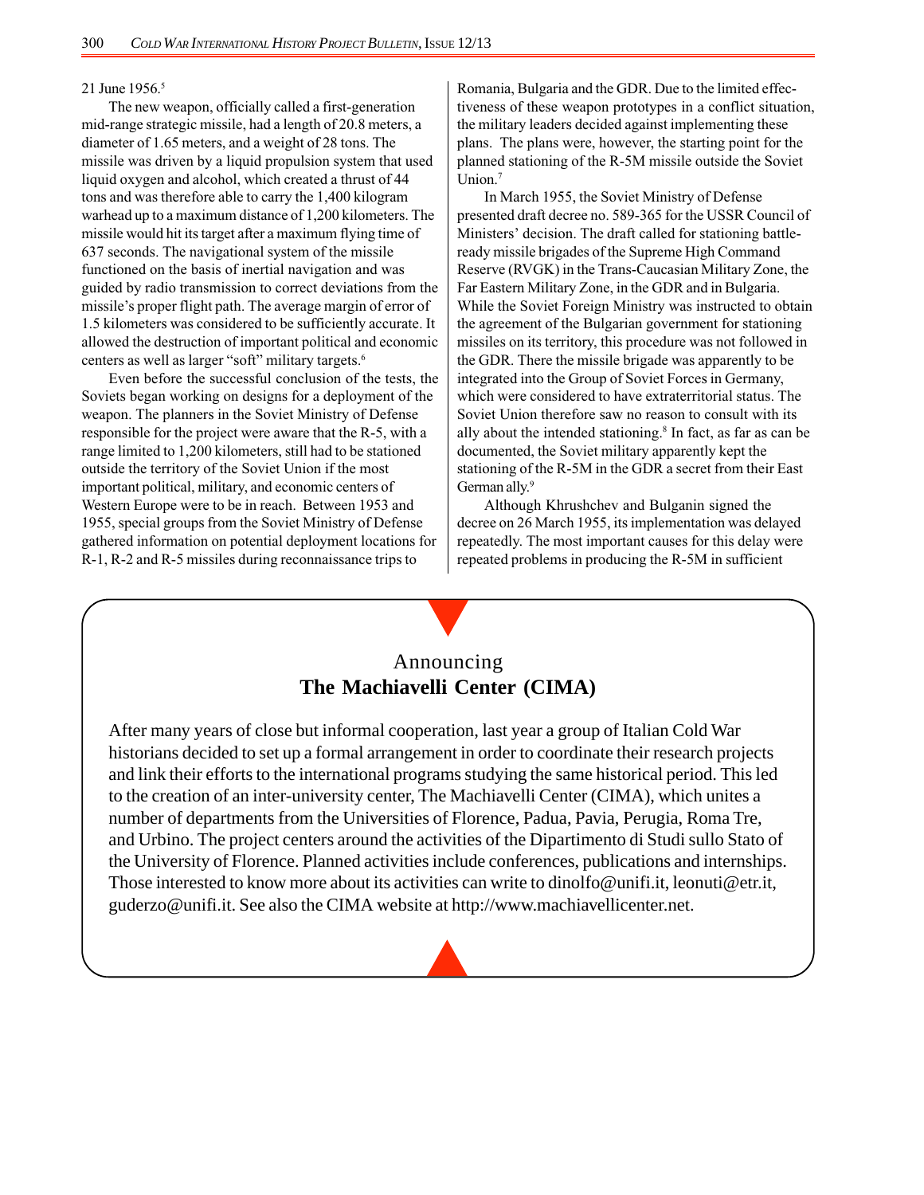#### 21 June 1956.<sup>5</sup>

The new weapon, officially called a first-generation mid-range strategic missile, had a length of 20.8 meters, a diameter of 1.65 meters, and a weight of 28 tons. The missile was driven by a liquid propulsion system that used liquid oxygen and alcohol, which created a thrust of 44 tons and was therefore able to carry the 1,400 kilogram warhead up to a maximum distance of 1,200 kilometers. The missile would hit its target after a maximum flying time of 637 seconds. The navigational system of the missile functioned on the basis of inertial navigation and was guided by radio transmission to correct deviations from the missile's proper flight path. The average margin of error of 1.5 kilometers was considered to be sufficiently accurate. It allowed the destruction of important political and economic centers as well as larger "soft" military targets.6

Even before the successful conclusion of the tests, the Soviets began working on designs for a deployment of the weapon. The planners in the Soviet Ministry of Defense responsible for the project were aware that the R-5, with a range limited to 1,200 kilometers, still had to be stationed outside the territory of the Soviet Union if the most important political, military, and economic centers of Western Europe were to be in reach. Between 1953 and 1955, special groups from the Soviet Ministry of Defense gathered information on potential deployment locations for R-1, R-2 and R-5 missiles during reconnaissance trips to

Romania, Bulgaria and the GDR. Due to the limited effectiveness of these weapon prototypes in a conflict situation, the military leaders decided against implementing these plans. The plans were, however, the starting point for the planned stationing of the R-5M missile outside the Soviet Union.<sup>7</sup>

In March 1955, the Soviet Ministry of Defense presented draft decree no. 589-365 for the USSR Council of Ministers' decision. The draft called for stationing battleready missile brigades of the Supreme High Command Reserve (RVGK) in the Trans-Caucasian Military Zone, the Far Eastern Military Zone, in the GDR and in Bulgaria. While the Soviet Foreign Ministry was instructed to obtain the agreement of the Bulgarian government for stationing missiles on its territory, this procedure was not followed in the GDR. There the missile brigade was apparently to be integrated into the Group of Soviet Forces in Germany, which were considered to have extraterritorial status. The Soviet Union therefore saw no reason to consult with its ally about the intended stationing.<sup>8</sup> In fact, as far as can be documented, the Soviet military apparently kept the stationing of the R-5M in the GDR a secret from their East German ally.<sup>9</sup>

Although Khrushchev and Bulganin signed the decree on 26 March 1955, its implementation was delayed repeatedly. The most important causes for this delay were repeated problems in producing the R-5M in sufficient

## Announcing **The Machiavelli Center (CIMA)**

After many years of close but informal cooperation, last year a group of Italian Cold War historians decided to set up a formal arrangement in order to coordinate their research projects and link their efforts to the international programs studying the same historical period. This led to the creation of an inter-university center, The Machiavelli Center (CIMA), which unites a number of departments from the Universities of Florence, Padua, Pavia, Perugia, Roma Tre, and Urbino. The project centers around the activities of the Dipartimento di Studi sullo Stato of the University of Florence. Planned activities include conferences, publications and internships. Those interested to know more about its activities can write to dinolfo@unifi.it, leonuti@etr.it, guderzo@unifi.it. See also the CIMA website at http://www.machiavellicenter.net.

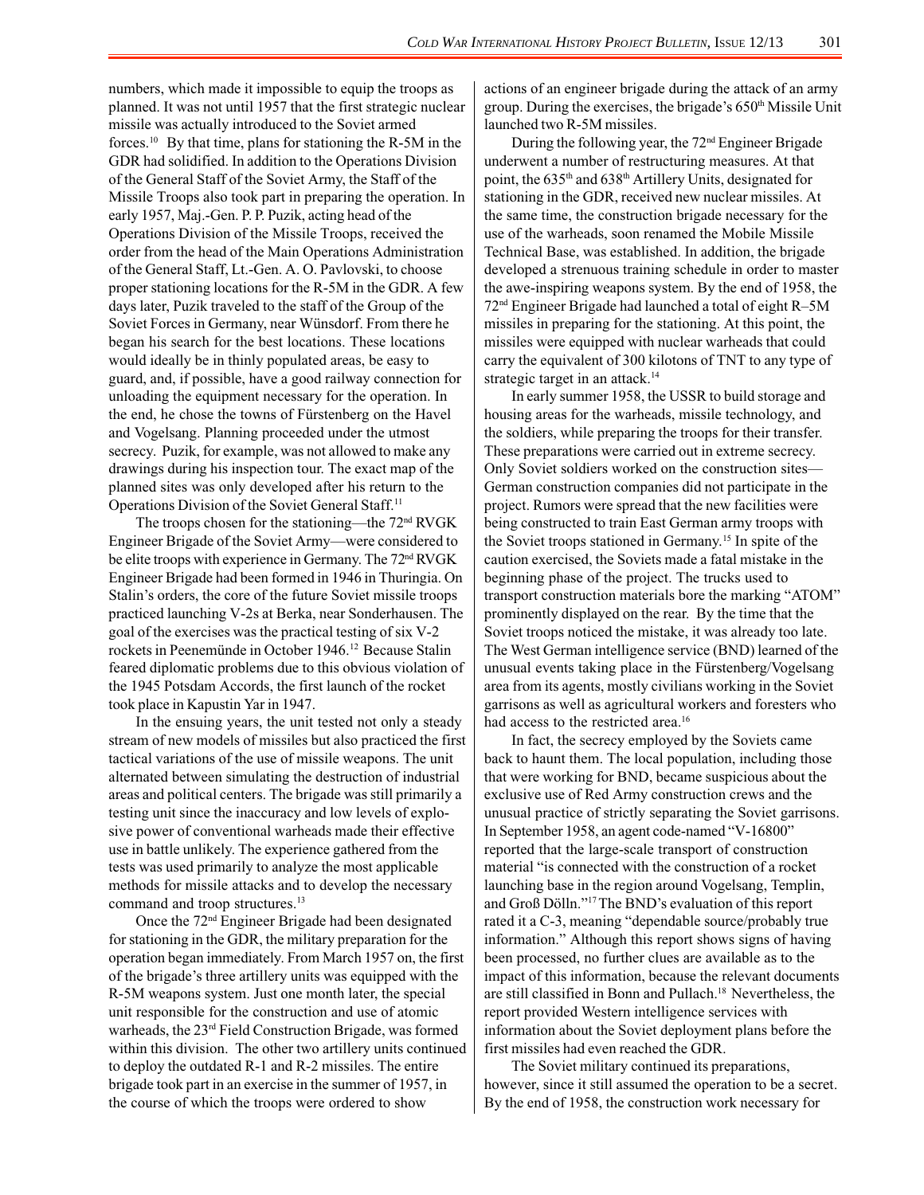numbers, which made it impossible to equip the troops as planned. It was not until 1957 that the first strategic nuclear missile was actually introduced to the Soviet armed forces.10 By that time, plans for stationing the R-5M in the GDR had solidified. In addition to the Operations Division of the General Staff of the Soviet Army, the Staff of the Missile Troops also took part in preparing the operation. In early 1957, Maj.-Gen. P. P. Puzik, acting head of the Operations Division of the Missile Troops, received the order from the head of the Main Operations Administration of the General Staff, Lt.-Gen. A. O. Pavlovski, to choose proper stationing locations for the R-5M in the GDR. A few days later, Puzik traveled to the staff of the Group of the Soviet Forces in Germany, near Wünsdorf. From there he began his search for the best locations. These locations would ideally be in thinly populated areas, be easy to guard, and, if possible, have a good railway connection for unloading the equipment necessary for the operation. In the end, he chose the towns of Fürstenberg on the Havel and Vogelsang. Planning proceeded under the utmost secrecy. Puzik, for example, was not allowed to make any drawings during his inspection tour. The exact map of the planned sites was only developed after his return to the Operations Division of the Soviet General Staff.11

The troops chosen for the stationing—the 72nd RVGK Engineer Brigade of the Soviet Army—were considered to be elite troops with experience in Germany. The 72<sup>nd</sup> RVGK Engineer Brigade had been formed in 1946 in Thuringia. On Stalin's orders, the core of the future Soviet missile troops practiced launching V-2s at Berka, near Sonderhausen. The goal of the exercises was the practical testing of six V-2 rockets in Peenemünde in October 1946.<sup>12</sup> Because Stalin feared diplomatic problems due to this obvious violation of the 1945 Potsdam Accords, the first launch of the rocket took place in Kapustin Yar in 1947.

In the ensuing years, the unit tested not only a steady stream of new models of missiles but also practiced the first tactical variations of the use of missile weapons. The unit alternated between simulating the destruction of industrial areas and political centers. The brigade was still primarily a testing unit since the inaccuracy and low levels of explosive power of conventional warheads made their effective use in battle unlikely. The experience gathered from the tests was used primarily to analyze the most applicable methods for missile attacks and to develop the necessary command and troop structures.<sup>13</sup>

Once the 72<sup>nd</sup> Engineer Brigade had been designated for stationing in the GDR, the military preparation for the operation began immediately. From March 1957 on, the first of the brigade's three artillery units was equipped with the R-5M weapons system. Just one month later, the special unit responsible for the construction and use of atomic warheads, the 23rd Field Construction Brigade, was formed within this division. The other two artillery units continued to deploy the outdated R-1 and R-2 missiles. The entire brigade took part in an exercise in the summer of 1957, in the course of which the troops were ordered to show

actions of an engineer brigade during the attack of an army group. During the exercises, the brigade's 650<sup>th</sup> Missile Unit launched two R-5M missiles.

During the following year, the 72nd Engineer Brigade underwent a number of restructuring measures. At that point, the 635<sup>th</sup> and 638<sup>th</sup> Artillery Units, designated for stationing in the GDR, received new nuclear missiles. At the same time, the construction brigade necessary for the use of the warheads, soon renamed the Mobile Missile Technical Base, was established. In addition, the brigade developed a strenuous training schedule in order to master the awe-inspiring weapons system. By the end of 1958, the 72nd Engineer Brigade had launched a total of eight R–5M missiles in preparing for the stationing. At this point, the missiles were equipped with nuclear warheads that could carry the equivalent of 300 kilotons of TNT to any type of strategic target in an attack.<sup>14</sup>

In early summer 1958, the USSR to build storage and housing areas for the warheads, missile technology, and the soldiers, while preparing the troops for their transfer. These preparations were carried out in extreme secrecy. Only Soviet soldiers worked on the construction sites— German construction companies did not participate in the project. Rumors were spread that the new facilities were being constructed to train East German army troops with the Soviet troops stationed in Germany.15 In spite of the caution exercised, the Soviets made a fatal mistake in the beginning phase of the project. The trucks used to transport construction materials bore the marking "ATOM" prominently displayed on the rear. By the time that the Soviet troops noticed the mistake, it was already too late. The West German intelligence service (BND) learned of the unusual events taking place in the Fürstenberg/Vogelsang area from its agents, mostly civilians working in the Soviet garrisons as well as agricultural workers and foresters who had access to the restricted area.<sup>16</sup>

In fact, the secrecy employed by the Soviets came back to haunt them. The local population, including those that were working for BND, became suspicious about the exclusive use of Red Army construction crews and the unusual practice of strictly separating the Soviet garrisons. In September 1958, an agent code-named "V-16800" reported that the large-scale transport of construction material "is connected with the construction of a rocket launching base in the region around Vogelsang, Templin, and Groß Dölln."17 The BND's evaluation of this report rated it a C-3, meaning "dependable source/probably true information." Although this report shows signs of having been processed, no further clues are available as to the impact of this information, because the relevant documents are still classified in Bonn and Pullach.18 Nevertheless, the report provided Western intelligence services with information about the Soviet deployment plans before the first missiles had even reached the GDR.

The Soviet military continued its preparations, however, since it still assumed the operation to be a secret. By the end of 1958, the construction work necessary for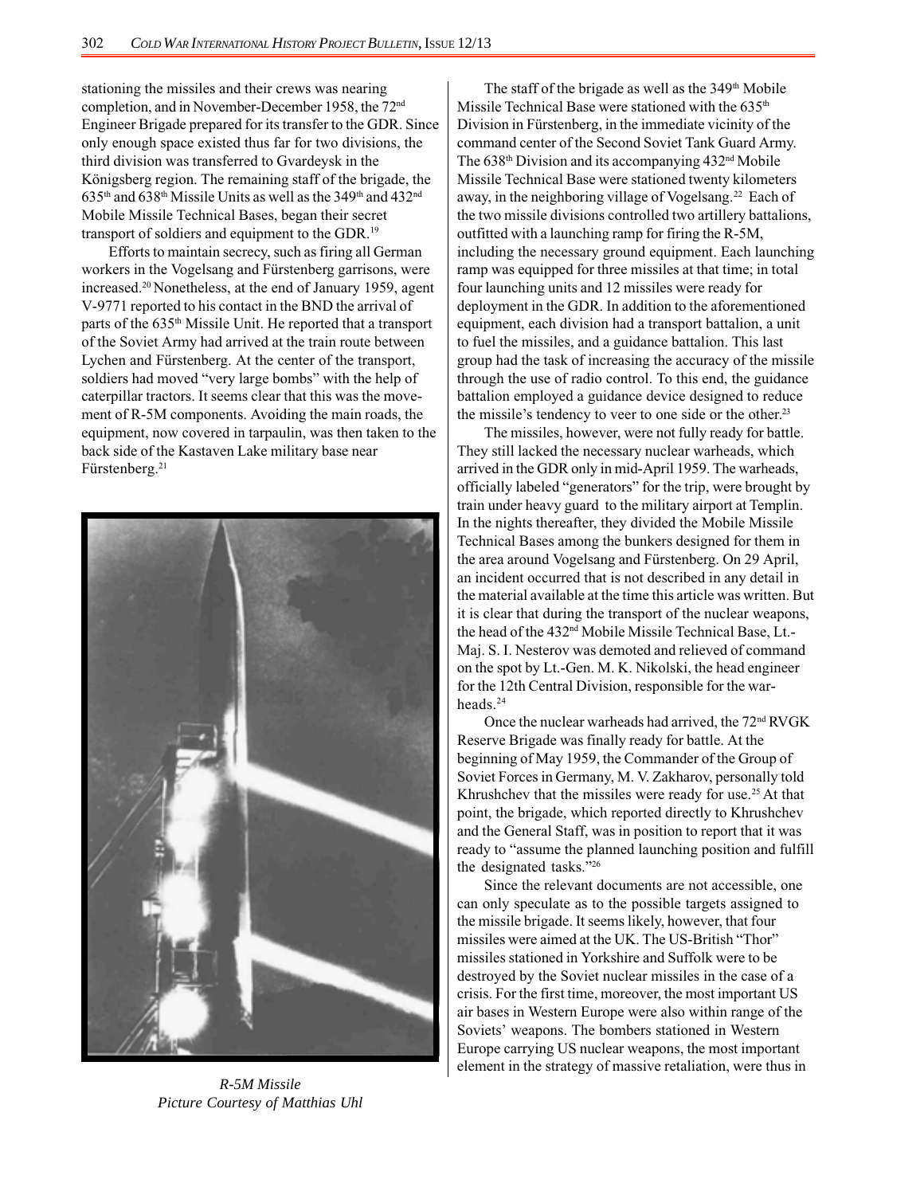stationing the missiles and their crews was nearing completion, and in November-December 1958, the 72nd Engineer Brigade prepared for its transfer to the GDR. Since only enough space existed thus far for two divisions, the third division was transferred to Gvardeysk in the Königsberg region. The remaining staff of the brigade, the  $635<sup>th</sup>$  and  $638<sup>th</sup>$  Missile Units as well as the  $349<sup>th</sup>$  and  $432<sup>nd</sup>$ Mobile Missile Technical Bases, began their secret transport of soldiers and equipment to the GDR.19

Efforts to maintain secrecy, such as firing all German workers in the Vogelsang and Fürstenberg garrisons, were increased.20 Nonetheless, at the end of January 1959, agent V-9771 reported to his contact in the BND the arrival of parts of the 635<sup>th</sup> Missile Unit. He reported that a transport of the Soviet Army had arrived at the train route between Lychen and Fürstenberg. At the center of the transport, soldiers had moved "very large bombs" with the help of caterpillar tractors. It seems clear that this was the movement of R-5M components. Avoiding the main roads, the equipment, now covered in tarpaulin, was then taken to the back side of the Kastaven Lake military base near Fürstenberg.<sup>21</sup>



*R-5M Missile Picture Courtesy of Matthias Uhl*

The staff of the brigade as well as the  $349<sup>th</sup>$  Mobile Missile Technical Base were stationed with the 635<sup>th</sup> Division in Fürstenberg, in the immediate vicinity of the command center of the Second Soviet Tank Guard Army. The  $638<sup>th</sup>$  Division and its accompanying  $432<sup>nd</sup>$  Mobile Missile Technical Base were stationed twenty kilometers away, in the neighboring village of Vogelsang.<sup>22</sup> Each of the two missile divisions controlled two artillery battalions, outfitted with a launching ramp for firing the R-5M, including the necessary ground equipment. Each launching ramp was equipped for three missiles at that time; in total four launching units and 12 missiles were ready for deployment in the GDR. In addition to the aforementioned equipment, each division had a transport battalion, a unit to fuel the missiles, and a guidance battalion. This last group had the task of increasing the accuracy of the missile through the use of radio control. To this end, the guidance battalion employed a guidance device designed to reduce the missile's tendency to veer to one side or the other.<sup>23</sup>

The missiles, however, were not fully ready for battle. They still lacked the necessary nuclear warheads, which arrived in the GDR only in mid-April 1959. The warheads, officially labeled "generators" for the trip, were brought by train under heavy guard to the military airport at Templin. In the nights thereafter, they divided the Mobile Missile Technical Bases among the bunkers designed for them in the area around Vogelsang and Fürstenberg. On 29 April, an incident occurred that is not described in any detail in the material available at the time this article was written. But it is clear that during the transport of the nuclear weapons, the head of the 432nd Mobile Missile Technical Base, Lt.- Maj. S. I. Nesterov was demoted and relieved of command on the spot by Lt.-Gen. M. K. Nikolski, the head engineer for the 12th Central Division, responsible for the warheads.<sup>24</sup>

Once the nuclear warheads had arrived, the 72<sup>nd</sup> RVGK Reserve Brigade was finally ready for battle. At the beginning of May 1959, the Commander of the Group of Soviet Forces in Germany, M. V. Zakharov, personally told Khrushchev that the missiles were ready for use.25 At that point, the brigade, which reported directly to Khrushchev and the General Staff, was in position to report that it was ready to "assume the planned launching position and fulfill the designated tasks."26

Since the relevant documents are not accessible, one can only speculate as to the possible targets assigned to the missile brigade. It seems likely, however, that four missiles were aimed at the UK. The US-British "Thor" missiles stationed in Yorkshire and Suffolk were to be destroyed by the Soviet nuclear missiles in the case of a crisis. For the first time, moreover, the most important US air bases in Western Europe were also within range of the Soviets' weapons. The bombers stationed in Western Europe carrying US nuclear weapons, the most important element in the strategy of massive retaliation, were thus in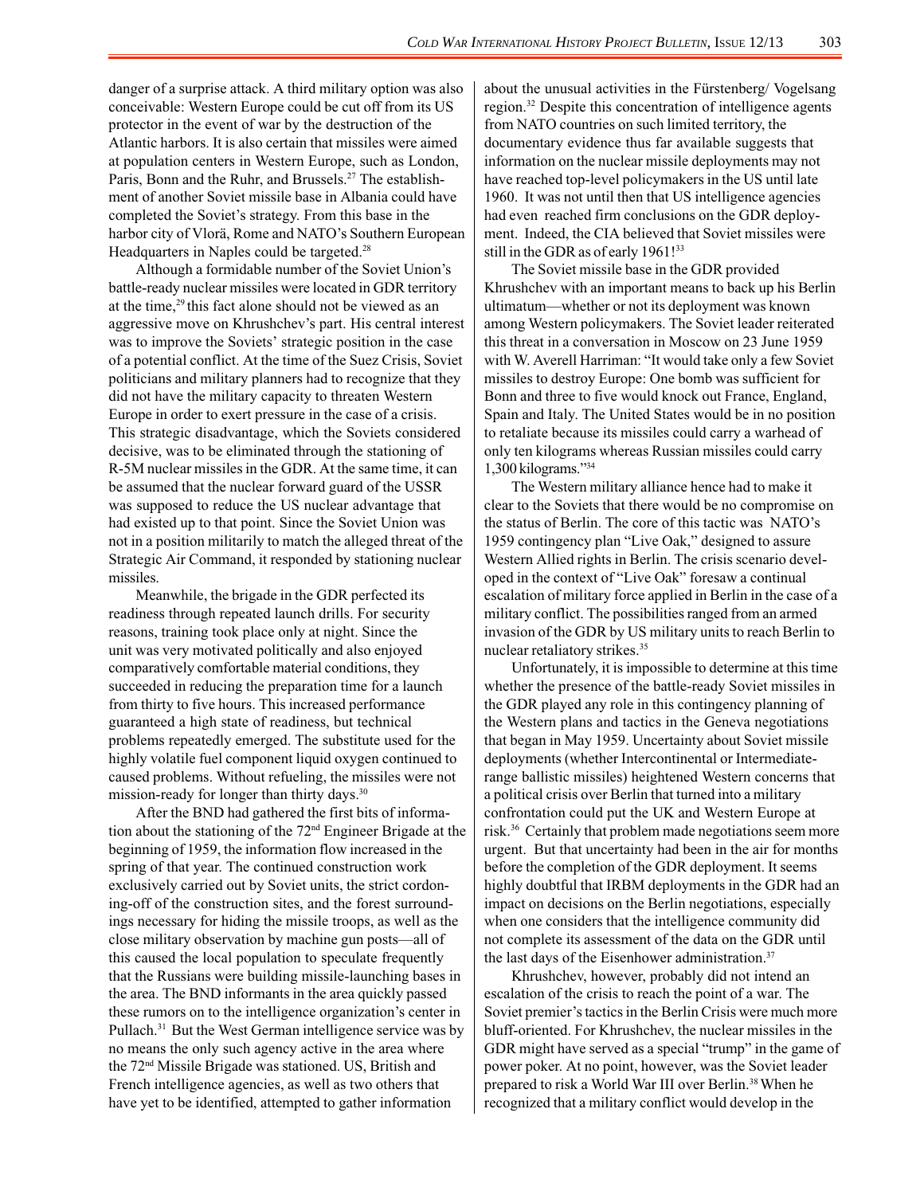danger of a surprise attack. A third military option was also conceivable: Western Europe could be cut off from its US protector in the event of war by the destruction of the Atlantic harbors. It is also certain that missiles were aimed at population centers in Western Europe, such as London, Paris, Bonn and the Ruhr, and Brussels.<sup>27</sup> The establishment of another Soviet missile base in Albania could have completed the Soviet's strategy. From this base in the harbor city of Vlorä, Rome and NATO's Southern European Headquarters in Naples could be targeted.<sup>28</sup>

Although a formidable number of the Soviet Union's battle-ready nuclear missiles were located in GDR territory at the time,29 this fact alone should not be viewed as an aggressive move on Khrushchev's part. His central interest was to improve the Soviets' strategic position in the case of a potential conflict. At the time of the Suez Crisis, Soviet politicians and military planners had to recognize that they did not have the military capacity to threaten Western Europe in order to exert pressure in the case of a crisis. This strategic disadvantage, which the Soviets considered decisive, was to be eliminated through the stationing of R-5M nuclear missiles in the GDR. At the same time, it can be assumed that the nuclear forward guard of the USSR was supposed to reduce the US nuclear advantage that had existed up to that point. Since the Soviet Union was not in a position militarily to match the alleged threat of the Strategic Air Command, it responded by stationing nuclear missiles.

Meanwhile, the brigade in the GDR perfected its readiness through repeated launch drills. For security reasons, training took place only at night. Since the unit was very motivated politically and also enjoyed comparatively comfortable material conditions, they succeeded in reducing the preparation time for a launch from thirty to five hours. This increased performance guaranteed a high state of readiness, but technical problems repeatedly emerged. The substitute used for the highly volatile fuel component liquid oxygen continued to caused problems. Without refueling, the missiles were not mission-ready for longer than thirty days.<sup>30</sup>

After the BND had gathered the first bits of information about the stationing of the 72nd Engineer Brigade at the beginning of 1959, the information flow increased in the spring of that year. The continued construction work exclusively carried out by Soviet units, the strict cordoning-off of the construction sites, and the forest surroundings necessary for hiding the missile troops, as well as the close military observation by machine gun posts—all of this caused the local population to speculate frequently that the Russians were building missile-launching bases in the area. The BND informants in the area quickly passed these rumors on to the intelligence organization's center in Pullach.31 But the West German intelligence service was by no means the only such agency active in the area where the 72nd Missile Brigade was stationed. US, British and French intelligence agencies, as well as two others that have yet to be identified, attempted to gather information

about the unusual activities in the Fürstenberg/ Vogelsang region.32 Despite this concentration of intelligence agents from NATO countries on such limited territory, the documentary evidence thus far available suggests that information on the nuclear missile deployments may not have reached top-level policymakers in the US until late 1960. It was not until then that US intelligence agencies had even reached firm conclusions on the GDR deployment. Indeed, the CIA believed that Soviet missiles were still in the GDR as of early 1961!<sup>33</sup>

The Soviet missile base in the GDR provided Khrushchev with an important means to back up his Berlin ultimatum—whether or not its deployment was known among Western policymakers. The Soviet leader reiterated this threat in a conversation in Moscow on 23 June 1959 with W. Averell Harriman: "It would take only a few Soviet missiles to destroy Europe: One bomb was sufficient for Bonn and three to five would knock out France, England, Spain and Italy. The United States would be in no position to retaliate because its missiles could carry a warhead of only ten kilograms whereas Russian missiles could carry 1,300 kilograms."34

The Western military alliance hence had to make it clear to the Soviets that there would be no compromise on the status of Berlin. The core of this tactic was NATO's 1959 contingency plan "Live Oak," designed to assure Western Allied rights in Berlin. The crisis scenario developed in the context of "Live Oak" foresaw a continual escalation of military force applied in Berlin in the case of a military conflict. The possibilities ranged from an armed invasion of the GDR by US military units to reach Berlin to nuclear retaliatory strikes.35

Unfortunately, it is impossible to determine at this time whether the presence of the battle-ready Soviet missiles in the GDR played any role in this contingency planning of the Western plans and tactics in the Geneva negotiations that began in May 1959. Uncertainty about Soviet missile deployments (whether Intercontinental or Intermediaterange ballistic missiles) heightened Western concerns that a political crisis over Berlin that turned into a military confrontation could put the UK and Western Europe at risk.36 Certainly that problem made negotiations seem more urgent. But that uncertainty had been in the air for months before the completion of the GDR deployment. It seems highly doubtful that IRBM deployments in the GDR had an impact on decisions on the Berlin negotiations, especially when one considers that the intelligence community did not complete its assessment of the data on the GDR until the last days of the Eisenhower administration.<sup>37</sup>

Khrushchev, however, probably did not intend an escalation of the crisis to reach the point of a war. The Soviet premier's tactics in the Berlin Crisis were much more bluff-oriented. For Khrushchev, the nuclear missiles in the GDR might have served as a special "trump" in the game of power poker. At no point, however, was the Soviet leader prepared to risk a World War III over Berlin.38 When he recognized that a military conflict would develop in the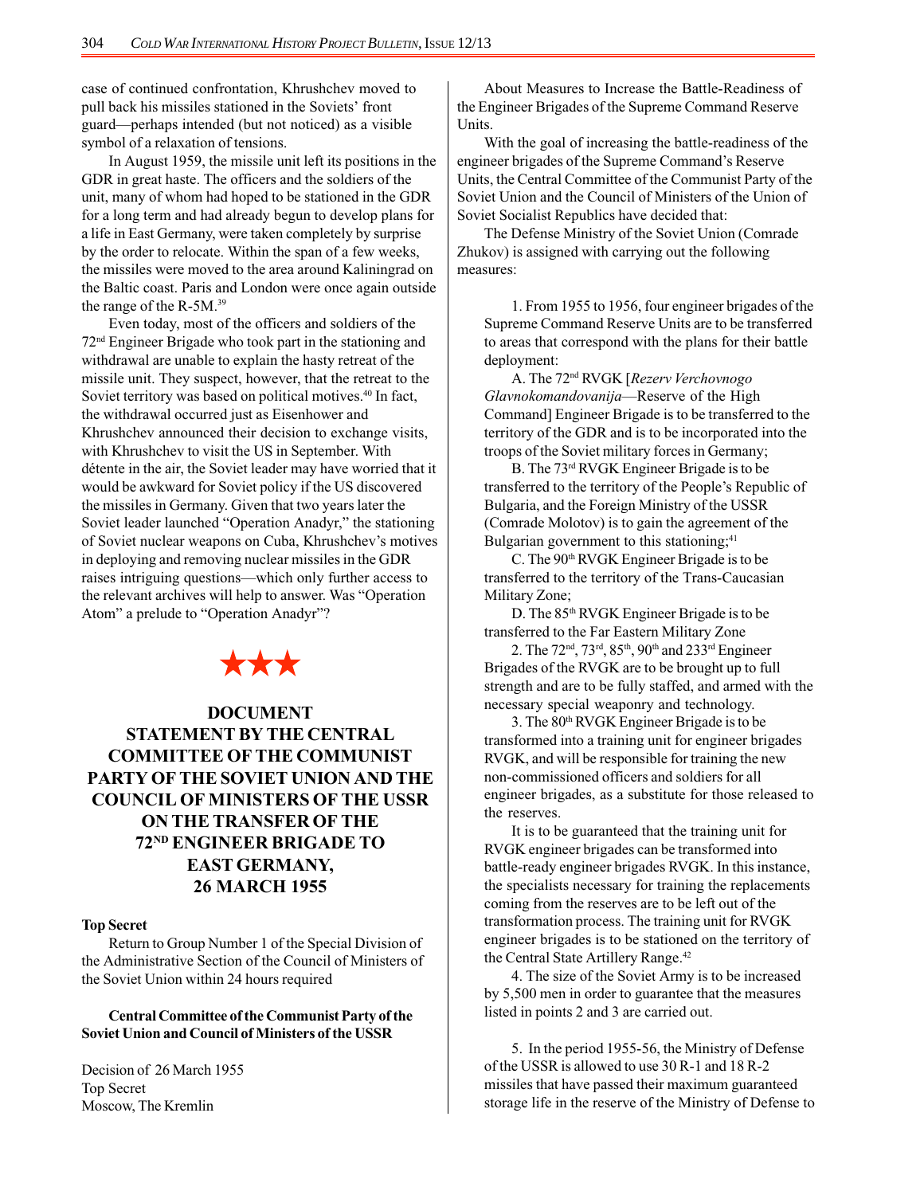case of continued confrontation, Khrushchev moved to pull back his missiles stationed in the Soviets' front guard—perhaps intended (but not noticed) as a visible symbol of a relaxation of tensions.

In August 1959, the missile unit left its positions in the GDR in great haste. The officers and the soldiers of the unit, many of whom had hoped to be stationed in the GDR for a long term and had already begun to develop plans for a life in East Germany, were taken completely by surprise by the order to relocate. Within the span of a few weeks, the missiles were moved to the area around Kaliningrad on the Baltic coast. Paris and London were once again outside the range of the R-5M.39

Even today, most of the officers and soldiers of the 72nd Engineer Brigade who took part in the stationing and withdrawal are unable to explain the hasty retreat of the missile unit. They suspect, however, that the retreat to the Soviet territory was based on political motives.<sup>40</sup> In fact, the withdrawal occurred just as Eisenhower and Khrushchev announced their decision to exchange visits, with Khrushchev to visit the US in September. With détente in the air, the Soviet leader may have worried that it would be awkward for Soviet policy if the US discovered the missiles in Germany. Given that two years later the Soviet leader launched "Operation Anadyr," the stationing of Soviet nuclear weapons on Cuba, Khrushchev's motives in deploying and removing nuclear missiles in the GDR raises intriguing questions—which only further access to the relevant archives will help to answer. Was "Operation Atom" a prelude to "Operation Anadyr"?

# \*\*\*

## **DOCUMENT STATEMENT BY THE CENTRAL COMMITTEE OF THE COMMUNIST PARTY OF THE SOVIET UNION AND THE COUNCIL OF MINISTERS OF THE USSR ON THE TRANSFER OF THE 72ND ENGINEER BRIGADE TO EAST GERMANY, 26 MARCH 1955**

#### **Top Secret**

Return to Group Number 1 of the Special Division of the Administrative Section of the Council of Ministers of the Soviet Union within 24 hours required

## **Central Committee of the Communist Party of the Soviet Union and Council of Ministers of the USSR**

Decision of 26 March 1955 Top Secret Moscow, The Kremlin

About Measures to Increase the Battle-Readiness of the Engineer Brigades of the Supreme Command Reserve Units.

With the goal of increasing the battle-readiness of the engineer brigades of the Supreme Command's Reserve Units, the Central Committee of the Communist Party of the Soviet Union and the Council of Ministers of the Union of Soviet Socialist Republics have decided that:

The Defense Ministry of the Soviet Union (Comrade Zhukov) is assigned with carrying out the following measures:

1. From 1955 to 1956, four engineer brigades of the Supreme Command Reserve Units are to be transferred to areas that correspond with the plans for their battle deployment:

A. The 72nd RVGK [*Rezerv Verchovnogo Glavnokomandovanija*—Reserve of the High Command] Engineer Brigade is to be transferred to the territory of the GDR and is to be incorporated into the troops of the Soviet military forces in Germany;

B. The 73rd RVGK Engineer Brigade is to be transferred to the territory of the People's Republic of Bulgaria, and the Foreign Ministry of the USSR (Comrade Molotov) is to gain the agreement of the Bulgarian government to this stationing;<sup>41</sup>

C. The 90<sup>th</sup> RVGK Engineer Brigade is to be transferred to the territory of the Trans-Caucasian Military Zone;

D. The 85<sup>th</sup> RVGK Engineer Brigade is to be transferred to the Far Eastern Military Zone

2. The 72nd, 73rd, 85th, 90th and 233rd Engineer Brigades of the RVGK are to be brought up to full strength and are to be fully staffed, and armed with the necessary special weaponry and technology.

3. The 80th RVGK Engineer Brigade is to be transformed into a training unit for engineer brigades RVGK, and will be responsible for training the new non-commissioned officers and soldiers for all engineer brigades, as a substitute for those released to the reserves.

It is to be guaranteed that the training unit for RVGK engineer brigades can be transformed into battle-ready engineer brigades RVGK. In this instance, the specialists necessary for training the replacements coming from the reserves are to be left out of the transformation process. The training unit for RVGK engineer brigades is to be stationed on the territory of the Central State Artillery Range.<sup>42</sup>

4. The size of the Soviet Army is to be increased by 5,500 men in order to guarantee that the measures listed in points 2 and 3 are carried out.

5. In the period 1955-56, the Ministry of Defense of the USSR is allowed to use 30 R-1 and 18 R-2 missiles that have passed their maximum guaranteed storage life in the reserve of the Ministry of Defense to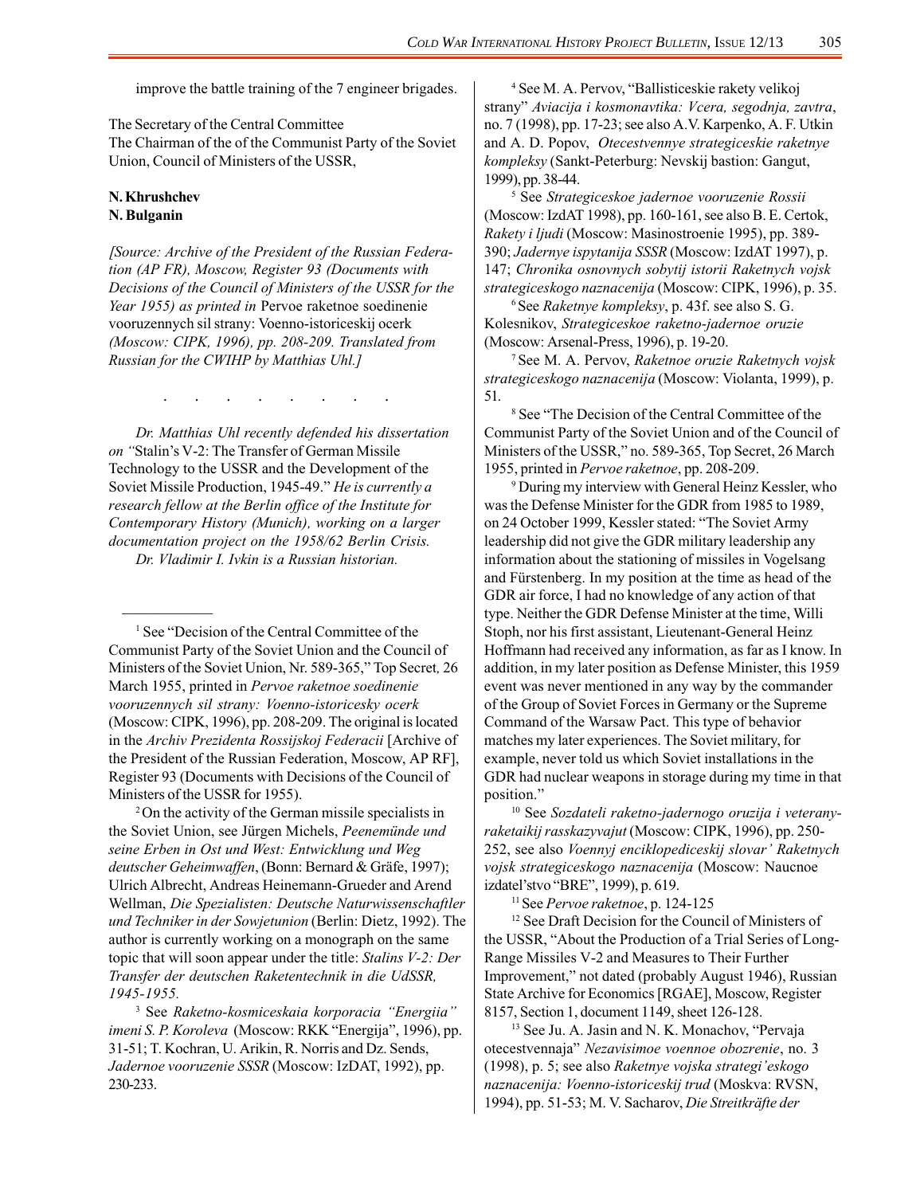improve the battle training of the 7 engineer brigades.

The Secretary of the Central Committee The Chairman of the of the Communist Party of the Soviet Union, Council of Ministers of the USSR,

## **N. Khrushchev N. Bulganin**

—————

*[Source: Archive of the President of the Russian Federation (AP FR), Moscow, Register 93 (Documents with Decisions of the Council of Ministers of the USSR for the Year 1955) as printed in* Pervoe raketnoe soedinenie vooruzennych sil strany: Voenno-istoriceskij ocerk *(Moscow: CIPK, 1996), pp. 208-209. Translated from Russian for the CWIHP by Matthias Uhl.]*

. . . . . . . .

*Dr. Matthias Uhl recently defended his dissertation on "*Stalin's V-2: The Transfer of German Missile Technology to the USSR and the Development of the Soviet Missile Production, 1945-49." *He is currently a research fellow at the Berlin office of the Institute for Contemporary History (Munich), working on a larger documentation project on the 1958/62 Berlin Crisis.*

*Dr. Vladimir I. Ivkin is a Russian historian.*

<sup>1</sup> See "Decision of the Central Committee of the Communist Party of the Soviet Union and the Council of Ministers of the Soviet Union, Nr. 589-365," Top Secret*,* 26 March 1955, printed in *Pervoe raketnoe soedinenie vooruzennych sil strany: Voenno-istoricesky ocerk* (Moscow: CIPK, 1996), pp. 208-209. The original is located in the *Archiv Prezidenta Rossijskoj Federacii* [Archive of the President of the Russian Federation, Moscow, AP RF], Register 93 (Documents with Decisions of the Council of Ministers of the USSR for 1955).

2 On the activity of the German missile specialists in the Soviet Union, see Jürgen Michels, *Peenemünde und seine Erben in Ost und West: Entwicklung und Weg deutscher Geheimwaffen*, (Bonn: Bernard & Gräfe, 1997); Ulrich Albrecht, Andreas Heinemann-Grueder and Arend Wellman, *Die Spezialisten: Deutsche Naturwissenschaftler und Techniker in der Sowjetunion* (Berlin: Dietz, 1992). The author is currently working on a monograph on the same topic that will soon appear under the title: *Stalins V-2: Der Transfer der deutschen Raketentechnik in die UdSSR, 1945-1955.*

3 See *Raketno-kosmiceskaia korporacia "Energiia" imeni S. P. Koroleva* (Moscow: RKK "Energija", 1996), pp. 31-51; T. Kochran, U. Arikin, R. Norris and Dz. Sends, *Jadernoe vooruzenie SSSR* (Moscow: IzDAT, 1992), pp. 230-233.

4 See M. A. Pervov, "Ballisticeskie rakety velikoj strany" *Aviacija i kosmonavtika: Vcera, segodnja, zavtra*, no. 7 (1998), pp. 17-23; see also A.V. Karpenko, A. F. Utkin and A. D. Popov, *Otecestvennye strategiceskie raketnye kompleksy* (Sankt-Peterburg: Nevskij bastion: Gangut, 1999), pp. 38-44.

5 See *Strategiceskoe jadernoe vooruzenie Rossii* (Moscow: IzdAT 1998), pp. 160-161, see also B. E. Certok, *Rakety i ljudi* (Moscow: Masinostroenie 1995), pp. 389- 390; *Jadernye ispytanija SSSR* (Moscow: IzdAT 1997), p. 147; *Chronika osnovnych sobytij istorii Raketnych vojsk strategiceskogo naznacenija* (Moscow: CIPK, 1996), p. 35.

6 See *Raketnye kompleksy*, p. 43f. see also S. G. Kolesnikov, *Strategiceskoe raketno-jadernoe oruzie* (Moscow: Arsenal-Press, 1996), p. 19-20.

7 See M. A. Pervov, *Raketnoe oruzie Raketnych vojsk strategiceskogo naznacenija* (Moscow: Violanta, 1999), p. 51.

8 See "The Decision of the Central Committee of the Communist Party of the Soviet Union and of the Council of Ministers of the USSR," no. 589-365, Top Secret, 26 March 1955, printed in *Pervoe raketnoe*, pp. 208-209.

9 During my interview with General Heinz Kessler, who was the Defense Minister for the GDR from 1985 to 1989, on 24 October 1999, Kessler stated: "The Soviet Army leadership did not give the GDR military leadership any information about the stationing of missiles in Vogelsang and Fürstenberg. In my position at the time as head of the GDR air force, I had no knowledge of any action of that type. Neither the GDR Defense Minister at the time, Willi Stoph, nor his first assistant, Lieutenant-General Heinz Hoffmann had received any information, as far as I know. In addition, in my later position as Defense Minister, this 1959 event was never mentioned in any way by the commander of the Group of Soviet Forces in Germany or the Supreme Command of the Warsaw Pact. This type of behavior matches my later experiences. The Soviet military, for example, never told us which Soviet installations in the GDR had nuclear weapons in storage during my time in that position."

10 See *Sozdateli raketno-jadernogo oruzija i veteranyraketaikij rasskazyvajut* (Moscow: CIPK, 1996), pp. 250- 252, see also *Voennyj enciklopediceskij slovar' Raketnych vojsk strategiceskogo naznacenija* (Moscow: Naucnoe izdatel'stvo "BRE", 1999), p. 619.

11 See *Pervoe raketnoe*, p. 124-125

<sup>12</sup> See Draft Decision for the Council of Ministers of the USSR, "About the Production of a Trial Series of Long-Range Missiles V-2 and Measures to Their Further Improvement," not dated (probably August 1946), Russian State Archive for Economics [RGAE], Moscow, Register 8157, Section 1, document 1149, sheet 126-128.

<sup>13</sup> See Ju. A. Jasin and N. K. Monachov, "Pervaja otecestvennaja" *Nezavisimoe voennoe obozrenie*, no. 3 (1998), p. 5; see also *Raketnye vojska strategi'eskogo naznacenija: Voenno-istoriceskij trud* (Moskva: RVSN, 1994), pp. 51-53; M. V. Sacharov, *Die Streitkräfte der*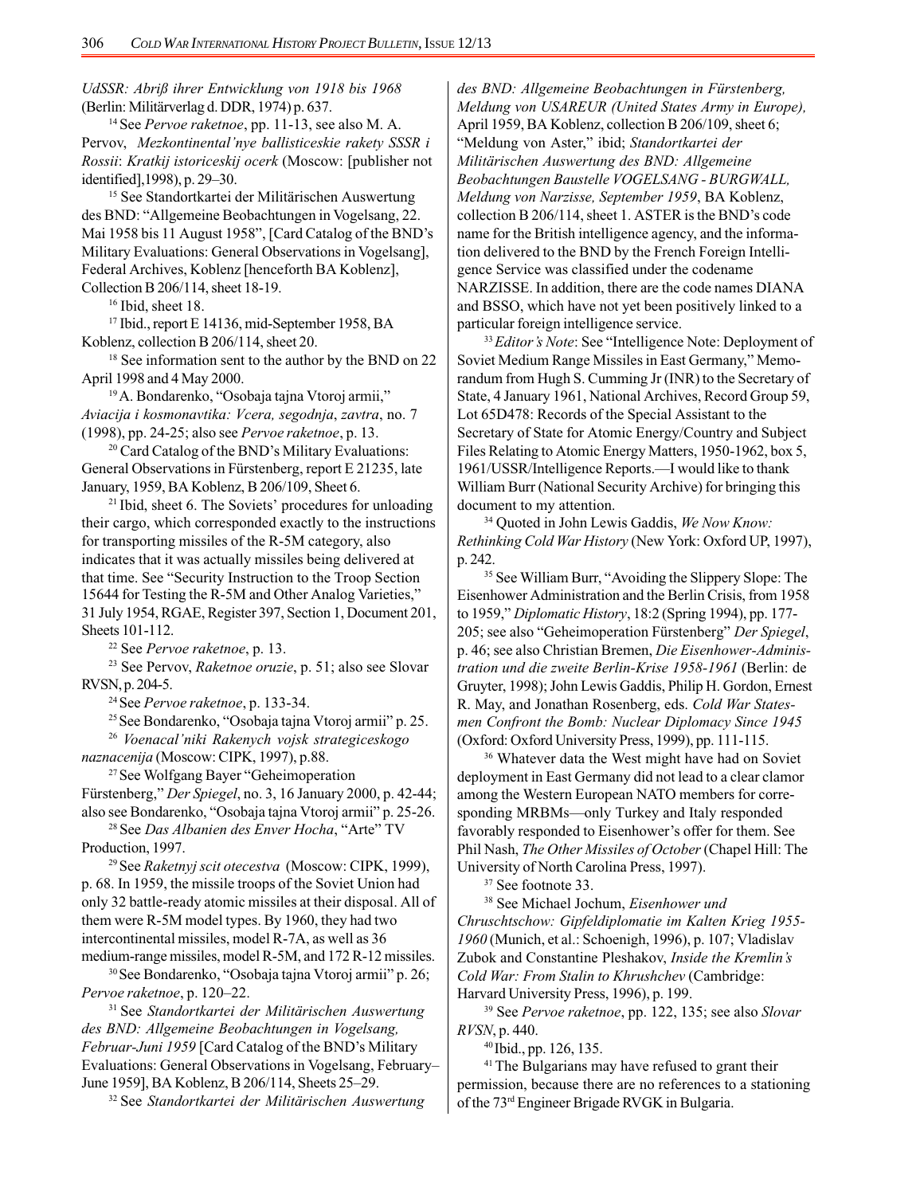*UdSSR: Abriß ihrer Entwicklung von 1918 bis 1968* (Berlin: Militärverlag d. DDR, 1974) p. 637.

14 See *Pervoe raketnoe*, pp. 11-13, see also M. A. Pervov, *Mezkontinental'nye ballisticeskie rakety SSSR i Rossii*: *Kratkij istoriceskij ocerk* (Moscow: [publisher not identified],1998), p. 29–30.

15 See Standortkartei der Militärischen Auswertung des BND: "Allgemeine Beobachtungen in Vogelsang, 22. Mai 1958 bis 11 August 1958", [Card Catalog of the BND's Military Evaluations: General Observations in Vogelsang], Federal Archives, Koblenz [henceforth BA Koblenz], Collection B 206/114, sheet 18-19.

<sup>16</sup> Ibid, sheet 18.

17 Ibid., report E 14136, mid-September 1958, BA Koblenz, collection B 206/114, sheet 20.

<sup>18</sup> See information sent to the author by the BND on 22 April 1998 and 4 May 2000.

<sup>19</sup> A. Bondarenko, "Osobaja tajna Vtoroj armii," *Aviacija i kosmonavtika: Vcera, segodnja*, *zavtra*, no. 7 (1998), pp. 24-25; also see *Pervoe raketnoe*, p. 13.

<sup>20</sup> Card Catalog of the BND's Military Evaluations: General Observations in Fürstenberg, report E 21235, late January, 1959, BA Koblenz, B 206/109, Sheet 6.

21 Ibid, sheet 6. The Soviets' procedures for unloading their cargo, which corresponded exactly to the instructions for transporting missiles of the R-5M category, also indicates that it was actually missiles being delivered at that time. See "Security Instruction to the Troop Section 15644 for Testing the R-5M and Other Analog Varieties," 31 July 1954, RGAE, Register 397, Section 1, Document 201, Sheets 101-112.

22 See *Pervoe raketnoe*, p. 13.

23 See Pervov, *Raketnoe oruzie*, p. 51; also see Slovar RVSN, p. 204-5.

24 See *Pervoe raketnoe*, p. 133-34.

25 See Bondarenko, "Osobaja tajna Vtoroj armii" p. 25.

<sup>26</sup> *Voenacal'niki Rakenych vojsk strategiceskogo naznacenija* (Moscow: CIPK, 1997), p.88.

27 See Wolfgang Bayer "Geheimoperation Fürstenberg," *Der Spiegel*, no. 3, 16 January 2000, p. 42-44; also see Bondarenko, "Osobaja tajna Vtoroj armii" p. 25-26.

28 See *Das Albanien des Enver Hocha*, "Arte" TV Production, 1997.

29 See *Raketnyj scit otecestva* (Moscow: CIPK, 1999), p. 68. In 1959, the missile troops of the Soviet Union had only 32 battle-ready atomic missiles at their disposal. All of them were R-5M model types. By 1960, they had two intercontinental missiles, model R-7A, as well as 36 medium-range missiles, model R-5M, and 172 R-12 missiles.

30 See Bondarenko, "Osobaja tajna Vtoroj armii" p. 26; *Pervoe raketnoe*, p. 120–22.

31 See *Standortkartei der Militärischen Auswertung des BND: Allgemeine Beobachtungen in Vogelsang, Februar-Juni 1959* [Card Catalog of the BND's Military Evaluations: General Observations in Vogelsang, February– June 1959], BA Koblenz, B 206/114, Sheets 25–29.

32 See *Standortkartei der Militärischen Auswertung*

*des BND: Allgemeine Beobachtungen in Fürstenberg, Meldung von USAREUR (United States Army in Europe),* April 1959, BA Koblenz, collection B 206/109, sheet 6; "Meldung von Aster," ibid; *Standortkartei der Militärischen Auswertung des BND: Allgemeine Beobachtungen Baustelle VOGELSANG - BURGWALL, Meldung von Narzisse, September 1959*, BA Koblenz, collection B 206/114, sheet 1. ASTER is the BND's code name for the British intelligence agency, and the information delivered to the BND by the French Foreign Intelligence Service was classified under the codename NARZISSE. In addition, there are the code names DIANA and BSSO, which have not yet been positively linked to a particular foreign intelligence service.

<sup>33</sup> Editor's Note: See "Intelligence Note: Deployment of Soviet Medium Range Missiles in East Germany," Memorandum from Hugh S. Cumming Jr (INR) to the Secretary of State, 4 January 1961, National Archives, Record Group 59, Lot 65D478: Records of the Special Assistant to the Secretary of State for Atomic Energy/Country and Subject Files Relating to Atomic Energy Matters, 1950-1962, box 5, 1961/USSR/Intelligence Reports.—I would like to thank William Burr (National Security Archive) for bringing this document to my attention.

34 Quoted in John Lewis Gaddis, *We Now Know: Rethinking Cold War History* (New York: Oxford UP, 1997), p. 242.

35 See William Burr, "Avoiding the Slippery Slope: The Eisenhower Administration and the Berlin Crisis, from 1958 to 1959," *Diplomatic History*, 18:2 (Spring 1994), pp. 177- 205; see also "Geheimoperation Fürstenberg" *Der Spiegel*, p. 46; see also Christian Bremen, *Die Eisenhower-Administration und die zweite Berlin-Krise 1958-1961* (Berlin: de Gruyter, 1998); John Lewis Gaddis, Philip H. Gordon, Ernest R. May, and Jonathan Rosenberg, eds. *Cold War Statesmen Confront the Bomb: Nuclear Diplomacy Since 1945* (Oxford: Oxford University Press, 1999), pp. 111-115.

36 Whatever data the West might have had on Soviet deployment in East Germany did not lead to a clear clamor among the Western European NATO members for corresponding MRBMs—only Turkey and Italy responded favorably responded to Eisenhower's offer for them. See Phil Nash, *The Other Missiles of October* (Chapel Hill: The University of North Carolina Press, 1997).

37 See footnote 33.

38 See Michael Jochum, *Eisenhower und Chruschtschow: Gipfeldiplomatie im Kalten Krieg 1955- 1960* (Munich, et al.: Schoenigh, 1996), p. 107; Vladislav Zubok and Constantine Pleshakov, *Inside the Kremlin's Cold War: From Stalin to Khrushchev* (Cambridge: Harvard University Press, 1996), p. 199.

39 See *Pervoe raketnoe*, pp. 122, 135; see also *Slovar RVSN*, p. 440.

40 Ibid., pp. 126, 135.

<sup>41</sup> The Bulgarians may have refused to grant their permission, because there are no references to a stationing of the 73rd Engineer Brigade RVGK in Bulgaria.